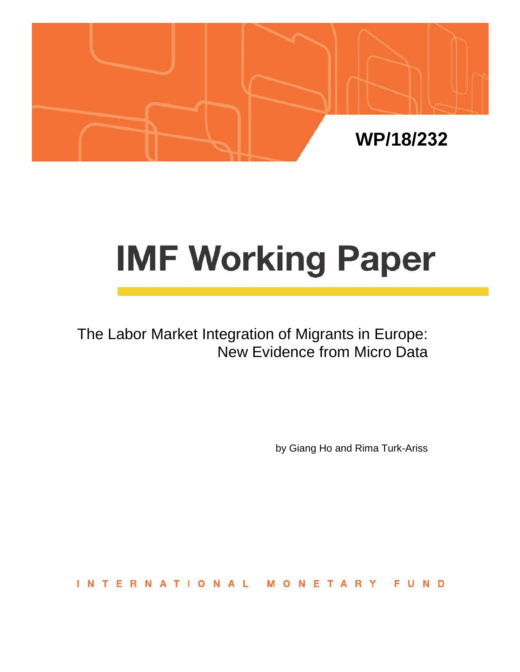

# **IMF Working Paper**

The Labor Market Integration of Migrants in Europe: New Evidence from Micro Data

by Giang Ho and Rima Turk-Ariss

**INTERNATIONAL** ONETAR FUND M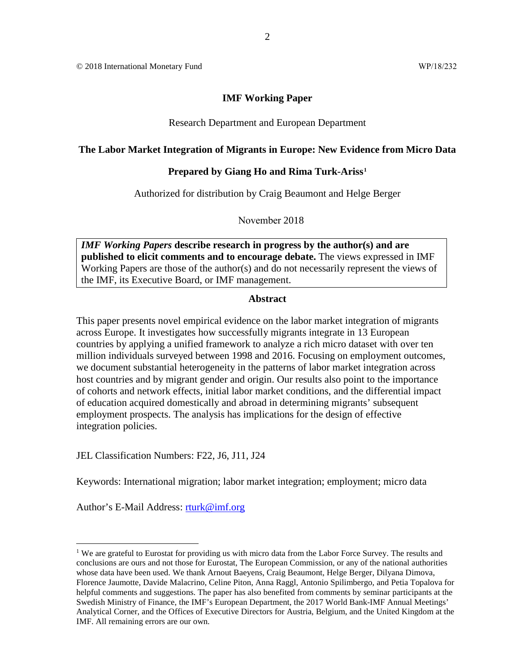© 2018 International Monetary Fund WP/18/232

#### **IMF Working Paper**

#### Research Department and European Department

#### **The Labor Market Integration of Migrants in Europe: New Evidence from Micro Data**

#### **Prepared by Giang Ho and Rima Turk-Ariss[1](#page-1-0)**

Authorized for distribution by Craig Beaumont and Helge Berger

November 2018

*IMF Working Papers* **describe research in progress by the author(s) and are published to elicit comments and to encourage debate.** The views expressed in IMF Working Papers are those of the author(s) and do not necessarily represent the views of the IMF, its Executive Board, or IMF management.

#### **Abstract**

This paper presents novel empirical evidence on the labor market integration of migrants across Europe. It investigates how successfully migrants integrate in 13 European countries by applying a unified framework to analyze a rich micro dataset with over ten million individuals surveyed between 1998 and 2016. Focusing on employment outcomes, we document substantial heterogeneity in the patterns of labor market integration across host countries and by migrant gender and origin. Our results also point to the importance of cohorts and network effects, initial labor market conditions, and the differential impact of education acquired domestically and abroad in determining migrants' subsequent employment prospects. The analysis has implications for the design of effective integration policies.

JEL Classification Numbers: F22, J6, J11, J24

Keywords: International migration; labor market integration; employment; micro data

Author's E-Mail Address: [rturk@imf.org](mailto:rturk@imf.org)

<span id="page-1-0"></span><sup>&</sup>lt;sup>1</sup> We are grateful to Eurostat for providing us with micro data from the Labor Force Survey. The results and conclusions are ours and not those for Eurostat, The European Commission, or any of the national authorities whose data have been used. We thank Arnout Baeyens, Craig Beaumont, Helge Berger, Dilyana Dimova, Florence Jaumotte, Davide Malacrino, Celine Piton, Anna Raggl, Antonio Spilimbergo, and Petia Topalova for helpful comments and suggestions. The paper has also benefited from comments by seminar participants at the Swedish Ministry of Finance, the IMF's European Department, the 2017 World Bank-IMF Annual Meetings' Analytical Corner, and the Offices of Executive Directors for Austria, Belgium, and the United Kingdom at the IMF. All remaining errors are our own.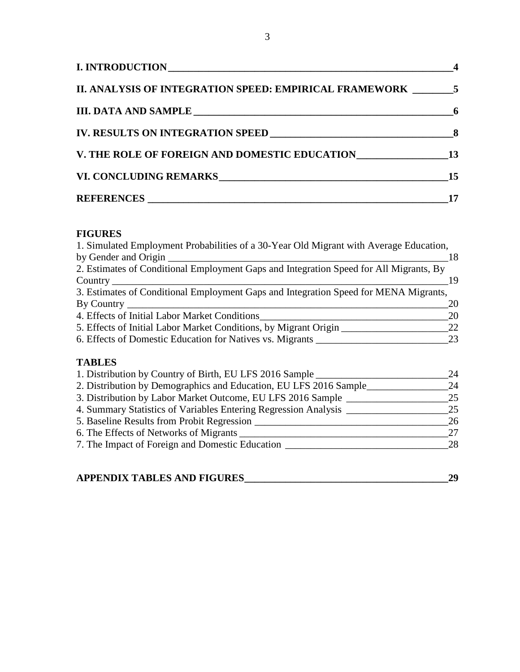| II. ANALYSIS OF INTEGRATION SPEED: EMPIRICAL FRAMEWORK 5 |    |
|----------------------------------------------------------|----|
|                                                          |    |
|                                                          |    |
| V. THE ROLE OF FOREIGN AND DOMESTIC EDUCATION 13         |    |
|                                                          | 15 |
|                                                          |    |

# **FIGURES**

| 1. Simulated Employment Probabilities of a 30-Year Old Migrant with Average Education, |    |
|----------------------------------------------------------------------------------------|----|
| by Gender and Origin                                                                   | 18 |
| 2. Estimates of Conditional Employment Gaps and Integration Speed for All Migrants, By |    |
| Country                                                                                | 19 |
| 3. Estimates of Conditional Employment Gaps and Integration Speed for MENA Migrants,   |    |
| By Country                                                                             | 20 |
| 4. Effects of Initial Labor Market Conditions                                          | 20 |
| 5. Effects of Initial Labor Market Conditions, by Migrant Origin                       | 22 |
| 6. Effects of Domestic Education for Natives vs. Migrants                              | 23 |
| <b>TABLES</b>                                                                          |    |
| 1. Distribution by Country of Birth, EU LFS 2016 Sample                                | 24 |
| 2. Distribution by Demographics and Education, EU LFS 2016 Sample                      | 24 |
| 3. Distribution by Labor Market Outcome, EU LFS 2016 Sample                            | 25 |
| 4. Summary Statistics of Variables Entering Regression Analysis _                      | 25 |
| 5. Baseline Results from Probit Regression                                             | 26 |
| 6 The Effects of Networks of Micronte                                                  | 27 |

| 6. The Effects of Networks of Migrants          |  |
|-------------------------------------------------|--|
| 7. The Impact of Foreign and Domestic Education |  |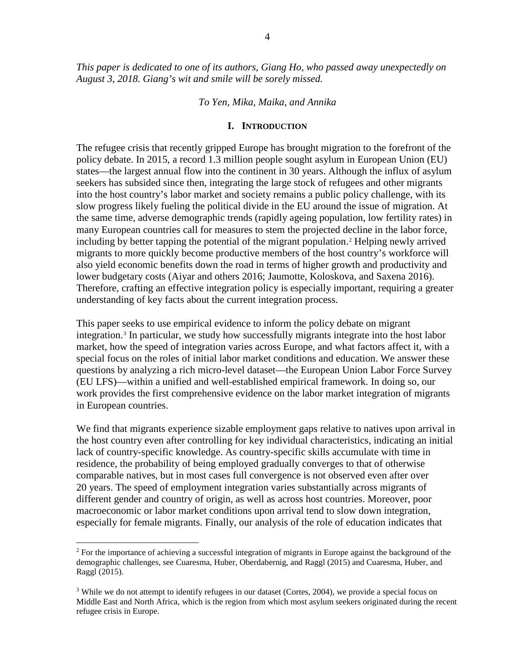#### *To Yen, Mika, Maika, and Annika*

#### **I. INTRODUCTION**

The refugee crisis that recently gripped Europe has brought migration to the forefront of the policy debate. In 2015, a record 1.3 million people sought asylum in European Union (EU) states—the largest annual flow into the continent in 30 years. Although the influx of asylum seekers has subsided since then, integrating the large stock of refugees and other migrants into the host country's labor market and society remains a public policy challenge, with its slow progress likely fueling the political divide in the EU around the issue of migration. At the same time, adverse demographic trends (rapidly ageing population, low fertility rates) in many European countries call for measures to stem the projected decline in the labor force, including by better tapping the potential of the migrant population.[2](#page-3-0) Helping newly arrived migrants to more quickly become productive members of the host country's workforce will also yield economic benefits down the road in terms of higher growth and productivity and lower budgetary costs (Aiyar and others 2016; Jaumotte, Koloskova, and Saxena 2016). Therefore, crafting an effective integration policy is especially important, requiring a greater understanding of key facts about the current integration process.

This paper seeks to use empirical evidence to inform the policy debate on migrant integration.[3](#page-3-1) In particular, we study how successfully migrants integrate into the host labor market, how the speed of integration varies across Europe, and what factors affect it, with a special focus on the roles of initial labor market conditions and education. We answer these questions by analyzing a rich micro-level dataset—the European Union Labor Force Survey (EU LFS)—within a unified and well-established empirical framework. In doing so, our work provides the first comprehensive evidence on the labor market integration of migrants in European countries.

We find that migrants experience sizable employment gaps relative to natives upon arrival in the host country even after controlling for key individual characteristics, indicating an initial lack of country-specific knowledge. As country-specific skills accumulate with time in residence, the probability of being employed gradually converges to that of otherwise comparable natives, but in most cases full convergence is not observed even after over 20 years. The speed of employment integration varies substantially across migrants of different gender and country of origin, as well as across host countries. Moreover, poor macroeconomic or labor market conditions upon arrival tend to slow down integration, especially for female migrants. Finally, our analysis of the role of education indicates that

<span id="page-3-0"></span> $2$  For the importance of achieving a successful integration of migrants in Europe against the background of the demographic challenges, see Cuaresma, Huber, Oberdabernig, and Raggl (2015) and Cuaresma, Huber, and Raggl (2015).

<span id="page-3-1"></span><sup>&</sup>lt;sup>3</sup> While we do not attempt to identify refugees in our dataset (Cortes, 2004), we provide a special focus on Middle East and North Africa, which is the region from which most asylum seekers originated during the recent refugee crisis in Europe.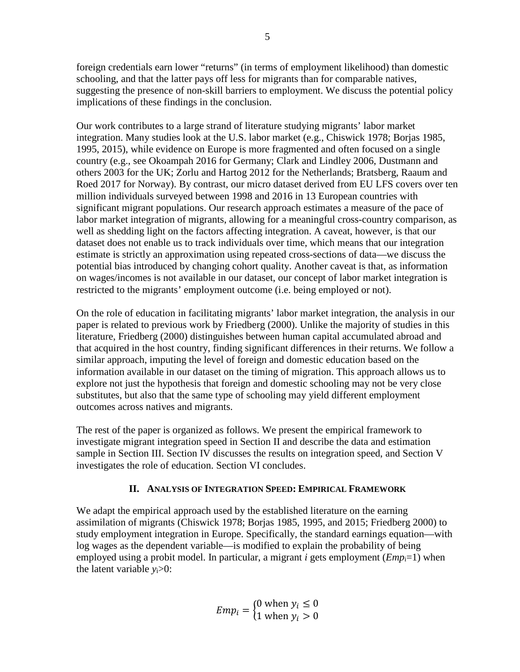foreign credentials earn lower "returns" (in terms of employment likelihood) than domestic schooling, and that the latter pays off less for migrants than for comparable natives, suggesting the presence of non-skill barriers to employment. We discuss the potential policy implications of these findings in the conclusion.

Our work contributes to a large strand of literature studying migrants' labor market integration. Many studies look at the U.S. labor market (e.g., Chiswick 1978; Borjas 1985, 1995, 2015), while evidence on Europe is more fragmented and often focused on a single country (e.g., see Okoampah 2016 for Germany; Clark and Lindley 2006, Dustmann and others 2003 for the UK; Zorlu and Hartog 2012 for the Netherlands; Bratsberg, Raaum and Roed 2017 for Norway). By contrast, our micro dataset derived from EU LFS covers over ten million individuals surveyed between 1998 and 2016 in 13 European countries with significant migrant populations. Our research approach estimates a measure of the pace of labor market integration of migrants, allowing for a meaningful cross-country comparison, as well as shedding light on the factors affecting integration. A caveat, however, is that our dataset does not enable us to track individuals over time, which means that our integration estimate is strictly an approximation using repeated cross-sections of data—we discuss the potential bias introduced by changing cohort quality. Another caveat is that, as information on wages/incomes is not available in our dataset, our concept of labor market integration is restricted to the migrants' employment outcome (i.e. being employed or not).

On the role of education in facilitating migrants' labor market integration, the analysis in our paper is related to previous work by Friedberg (2000). Unlike the majority of studies in this literature, Friedberg (2000) distinguishes between human capital accumulated abroad and that acquired in the host country, finding significant differences in their returns. We follow a similar approach, imputing the level of foreign and domestic education based on the information available in our dataset on the timing of migration. This approach allows us to explore not just the hypothesis that foreign and domestic schooling may not be very close substitutes, but also that the same type of schooling may yield different employment outcomes across natives and migrants.

The rest of the paper is organized as follows. We present the empirical framework to investigate migrant integration speed in Section II and describe the data and estimation sample in Section III. Section IV discusses the results on integration speed, and Section V investigates the role of education. Section VI concludes.

# **II. ANALYSIS OF INTEGRATION SPEED: EMPIRICAL FRAMEWORK**

We adapt the empirical approach used by the established literature on the earning assimilation of migrants (Chiswick 1978; Borjas 1985, 1995, and 2015; Friedberg 2000) to study employment integration in Europe. Specifically, the standard earnings equation—with log wages as the dependent variable—is modified to explain the probability of being employed using a probit model. In particular, a migrant *i* gets employment  $(Emp_{i}=1)$  when the latent variable  $y_i>0$ :

> $Emp_i = \begin{cases} 0 \text{ when } y_i \leq 0 \\ 1 \text{ when } y_i > 0 \end{cases}$ 1 when  $y_i > 0$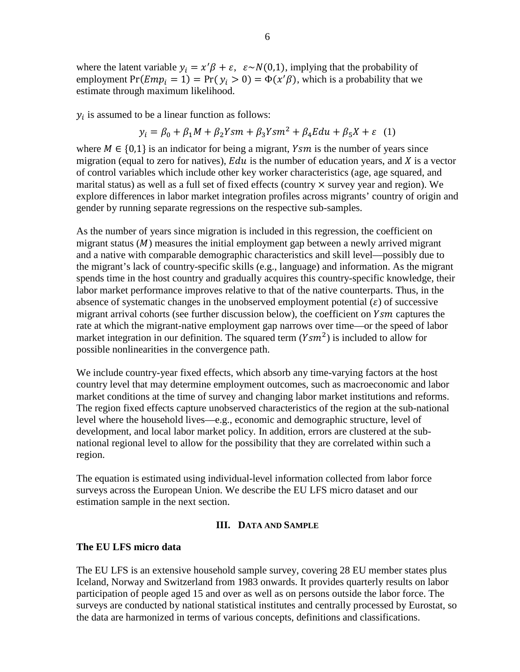where the latent variable  $y_i = x'\beta + \varepsilon$ ,  $\varepsilon \sim N(0,1)$ , implying that the probability of employment  $Pr(Emp_i = 1) = Pr(y_i > 0) = \Phi(x'\beta)$ , which is a probability that we estimate through maximum likelihood.

 $y_i$  is assumed to be a linear function as follows:

$$
y_i = \beta_0 + \beta_1 M + \beta_2 Y s m + \beta_3 Y s m^2 + \beta_4 E du + \beta_5 X + \varepsilon
$$
 (1)

where  $M \in \{0,1\}$  is an indicator for being a migrant, Ysm is the number of years since migration (equal to zero for natives),  $Edu$  is the number of education years, and  $X$  is a vector of control variables which include other key worker characteristics (age, age squared, and marital status) as well as a full set of fixed effects (country  $\times$  survey year and region). We explore differences in labor market integration profiles across migrants' country of origin and gender by running separate regressions on the respective sub-samples.

As the number of years since migration is included in this regression, the coefficient on migrant status  $(M)$  measures the initial employment gap between a newly arrived migrant and a native with comparable demographic characteristics and skill level—possibly due to the migrant's lack of country-specific skills (e.g., language) and information. As the migrant spends time in the host country and gradually acquires this country-specific knowledge, their labor market performance improves relative to that of the native counterparts. Thus, in the absence of systematic changes in the unobserved employment potential  $(\varepsilon)$  of successive migrant arrival cohorts (see further discussion below), the coefficient on  $Y$ *sm* captures the rate at which the migrant-native employment gap narrows over time—or the speed of labor market integration in our definition. The squared term  $(Y \, \text{S} \, m^2)$  is included to allow for possible nonlinearities in the convergence path.

We include country-year fixed effects, which absorb any time-varying factors at the host country level that may determine employment outcomes, such as macroeconomic and labor market conditions at the time of survey and changing labor market institutions and reforms. The region fixed effects capture unobserved characteristics of the region at the sub-national level where the household lives—e.g., economic and demographic structure, level of development, and local labor market policy. In addition, errors are clustered at the subnational regional level to allow for the possibility that they are correlated within such a region.

The equation is estimated using individual-level information collected from labor force surveys across the European Union. We describe the EU LFS micro dataset and our estimation sample in the next section.

## **III. DATA AND SAMPLE**

## **The EU LFS micro data**

The EU LFS is an extensive household sample survey, covering 28 EU member states plus Iceland, Norway and Switzerland from 1983 onwards. It provides quarterly results on labor participation of people aged 15 and over as well as on persons outside the labor force. The surveys are conducted by national statistical institutes and centrally processed by Eurostat, so the data are harmonized in terms of various concepts, definitions and classifications.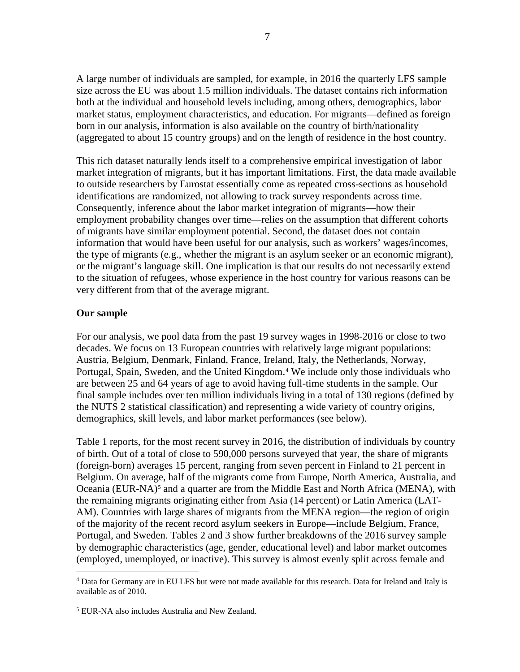A large number of individuals are sampled, for example, in 2016 the quarterly LFS sample size across the EU was about 1.5 million individuals. The dataset contains rich information both at the individual and household levels including, among others, demographics, labor market status, employment characteristics, and education. For migrants—defined as foreign born in our analysis, information is also available on the country of birth/nationality (aggregated to about 15 country groups) and on the length of residence in the host country.

This rich dataset naturally lends itself to a comprehensive empirical investigation of labor market integration of migrants, but it has important limitations. First, the data made available to outside researchers by Eurostat essentially come as repeated cross-sections as household identifications are randomized, not allowing to track survey respondents across time. Consequently, inference about the labor market integration of migrants—how their employment probability changes over time—relies on the assumption that different cohorts of migrants have similar employment potential. Second, the dataset does not contain information that would have been useful for our analysis, such as workers' wages/incomes, the type of migrants (e.g., whether the migrant is an asylum seeker or an economic migrant), or the migrant's language skill. One implication is that our results do not necessarily extend to the situation of refugees, whose experience in the host country for various reasons can be very different from that of the average migrant.

#### **Our sample**

For our analysis, we pool data from the past 19 survey wages in 1998-2016 or close to two decades. We focus on 13 European countries with relatively large migrant populations: Austria, Belgium, Denmark, Finland, France, Ireland, Italy, the Netherlands, Norway, Portugal, Spain, Sweden, and the United Kingdom.<sup>[4](#page-6-0)</sup> We include only those individuals who are between 25 and 64 years of age to avoid having full-time students in the sample. Our final sample includes over ten million individuals living in a total of 130 regions (defined by the NUTS 2 statistical classification) and representing a wide variety of country origins, demographics, skill levels, and labor market performances (see below).

Table 1 reports, for the most recent survey in 2016, the distribution of individuals by country of birth. Out of a total of close to 590,000 persons surveyed that year, the share of migrants (foreign-born) averages 15 percent, ranging from seven percent in Finland to 21 percent in Belgium. On average, half of the migrants come from Europe, North America, Australia, and Oceania (EUR-NA)<sup>[5](#page-6-1)</sup> and a quarter are from the Middle East and North Africa (MENA), with the remaining migrants originating either from Asia (14 percent) or Latin America (LAT-AM). Countries with large shares of migrants from the MENA region—the region of origin of the majority of the recent record asylum seekers in Europe—include Belgium, France, Portugal, and Sweden. Tables 2 and 3 show further breakdowns of the 2016 survey sample by demographic characteristics (age, gender, educational level) and labor market outcomes (employed, unemployed, or inactive). This survey is almost evenly split across female and

<span id="page-6-0"></span> <sup>4</sup> Data for Germany are in EU LFS but were not made available for this research. Data for Ireland and Italy is available as of 2010.

<span id="page-6-1"></span><sup>5</sup> EUR-NA also includes Australia and New Zealand.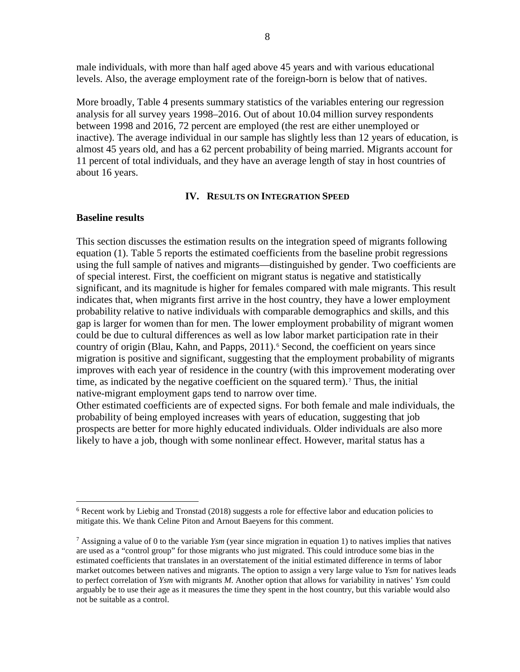male individuals, with more than half aged above 45 years and with various educational levels. Also, the average employment rate of the foreign-born is below that of natives.

More broadly, Table 4 presents summary statistics of the variables entering our regression analysis for all survey years 1998–2016. Out of about 10.04 million survey respondents between 1998 and 2016, 72 percent are employed (the rest are either unemployed or inactive). The average individual in our sample has slightly less than 12 years of education, is almost 45 years old, and has a 62 percent probability of being married. Migrants account for 11 percent of total individuals, and they have an average length of stay in host countries of about 16 years.

#### **IV. RESULTS ON INTEGRATION SPEED**

#### **Baseline results**

This section discusses the estimation results on the integration speed of migrants following equation (1). Table 5 reports the estimated coefficients from the baseline probit regressions using the full sample of natives and migrants—distinguished by gender. Two coefficients are of special interest. First, the coefficient on migrant status is negative and statistically significant, and its magnitude is higher for females compared with male migrants. This result indicates that, when migrants first arrive in the host country, they have a lower employment probability relative to native individuals with comparable demographics and skills, and this gap is larger for women than for men. The lower employment probability of migrant women could be due to cultural differences as well as low labor market participation rate in their country of origin (Blau, Kahn, and Papps, 2011).<sup>[6](#page-7-0)</sup> Second, the coefficient on years since migration is positive and significant, suggesting that the employment probability of migrants improves with each year of residence in the country (with this improvement moderating over time, as indicated by the negative coefficient on the squared term).<sup>[7](#page-7-1)</sup> Thus, the initial native-migrant employment gaps tend to narrow over time.

Other estimated coefficients are of expected signs. For both female and male individuals, the probability of being employed increases with years of education, suggesting that job prospects are better for more highly educated individuals. Older individuals are also more likely to have a job, though with some nonlinear effect. However, marital status has a

<span id="page-7-0"></span> $6$  Recent work by Liebig and Tronstad (2018) suggests a role for effective labor and education policies to mitigate this. We thank Celine Piton and Arnout Baeyens for this comment.

<span id="page-7-1"></span><sup>7</sup> Assigning a value of 0 to the variable *Ysm* (year since migration in equation 1) to natives implies that natives are used as a "control group" for those migrants who just migrated. This could introduce some bias in the estimated coefficients that translates in an overstatement of the initial estimated difference in terms of labor market outcomes between natives and migrants. The option to assign a very large value to *Ysm* for natives leads to perfect correlation of *Ysm* with migrants *M*. Another option that allows for variability in natives' *Ysm* could arguably be to use their age as it measures the time they spent in the host country, but this variable would also not be suitable as a control.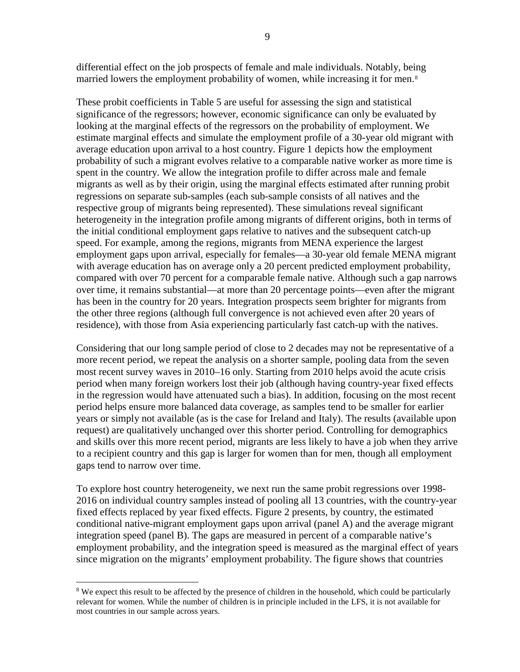differential effect on the job prospects of female and male individuals. Notably, being married lowers the employment probability of women, while increasing it for men.<sup>[8](#page-8-0)</sup>

These probit coefficients in Table 5 are useful for assessing the sign and statistical significance of the regressors; however, economic significance can only be evaluated by looking at the marginal effects of the regressors on the probability of employment. We estimate marginal effects and simulate the employment profile of a 30-year old migrant with average education upon arrival to a host country. Figure 1 depicts how the employment probability of such a migrant evolves relative to a comparable native worker as more time is spent in the country. We allow the integration profile to differ across male and female migrants as well as by their origin, using the marginal effects estimated after running probit regressions on separate sub-samples (each sub-sample consists of all natives and the respective group of migrants being represented). These simulations reveal significant heterogeneity in the integration profile among migrants of different origins, both in terms of the initial conditional employment gaps relative to natives and the subsequent catch-up speed. For example, among the regions, migrants from MENA experience the largest employment gaps upon arrival, especially for females—a 30-year old female MENA migrant with average education has on average only a 20 percent predicted employment probability, compared with over 70 percent for a comparable female native. Although such a gap narrows over time, it remains substantial—at more than 20 percentage points—even after the migrant has been in the country for 20 years. Integration prospects seem brighter for migrants from the other three regions (although full convergence is not achieved even after 20 years of residence), with those from Asia experiencing particularly fast catch-up with the natives.

Considering that our long sample period of close to 2 decades may not be representative of a more recent period, we repeat the analysis on a shorter sample, pooling data from the seven most recent survey waves in 2010–16 only. Starting from 2010 helps avoid the acute crisis period when many foreign workers lost their job (although having country-year fixed effects in the regression would have attenuated such a bias). In addition, focusing on the most recent period helps ensure more balanced data coverage, as samples tend to be smaller for earlier years or simply not available (as is the case for Ireland and Italy). The results (available upon request) are qualitatively unchanged over this shorter period. Controlling for demographics and skills over this more recent period, migrants are less likely to have a job when they arrive to a recipient country and this gap is larger for women than for men, though all employment gaps tend to narrow over time.

To explore host country heterogeneity, we next run the same probit regressions over 1998- 2016 on individual country samples instead of pooling all 13 countries, with the country-year fixed effects replaced by year fixed effects. Figure 2 presents, by country, the estimated conditional native-migrant employment gaps upon arrival (panel A) and the average migrant integration speed (panel B). The gaps are measured in percent of a comparable native's employment probability, and the integration speed is measured as the marginal effect of years since migration on the migrants' employment probability. The figure shows that countries

<span id="page-8-0"></span><sup>&</sup>lt;sup>8</sup> We expect this result to be affected by the presence of children in the household, which could be particularly relevant for women. While the number of children is in principle included in the LFS, it is not available for most countries in our sample across years.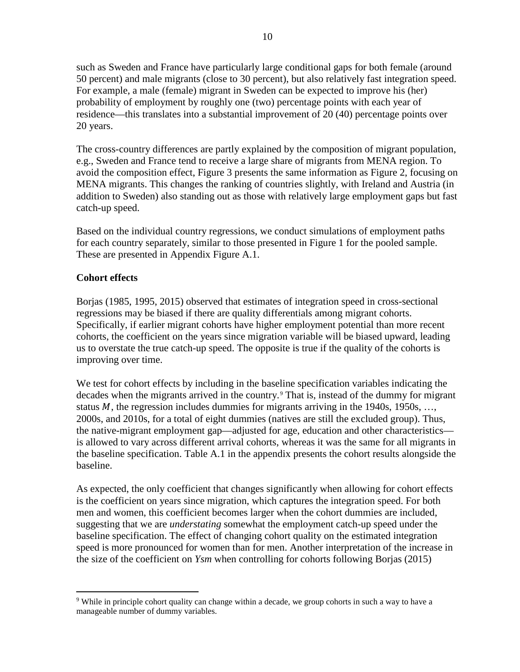such as Sweden and France have particularly large conditional gaps for both female (around 50 percent) and male migrants (close to 30 percent), but also relatively fast integration speed. For example, a male (female) migrant in Sweden can be expected to improve his (her) probability of employment by roughly one (two) percentage points with each year of residence—this translates into a substantial improvement of 20 (40) percentage points over 20 years.

The cross-country differences are partly explained by the composition of migrant population, e.g., Sweden and France tend to receive a large share of migrants from MENA region. To avoid the composition effect, Figure 3 presents the same information as Figure 2, focusing on MENA migrants. This changes the ranking of countries slightly, with Ireland and Austria (in addition to Sweden) also standing out as those with relatively large employment gaps but fast catch-up speed.

Based on the individual country regressions, we conduct simulations of employment paths for each country separately, similar to those presented in Figure 1 for the pooled sample. These are presented in Appendix Figure A.1.

# **Cohort effects**

Borjas (1985, 1995, 2015) observed that estimates of integration speed in cross-sectional regressions may be biased if there are quality differentials among migrant cohorts. Specifically, if earlier migrant cohorts have higher employment potential than more recent cohorts, the coefficient on the years since migration variable will be biased upward, leading us to overstate the true catch-up speed. The opposite is true if the quality of the cohorts is improving over time.

We test for cohort effects by including in the baseline specification variables indicating the decades when the migrants arrived in the country.<sup>[9](#page-9-0)</sup> That is, instead of the dummy for migrant status  $M$ , the regression includes dummies for migrants arriving in the 1940s, 1950s, ..., 2000s, and 2010s, for a total of eight dummies (natives are still the excluded group). Thus, the native-migrant employment gap—adjusted for age, education and other characteristics is allowed to vary across different arrival cohorts, whereas it was the same for all migrants in the baseline specification. Table A.1 in the appendix presents the cohort results alongside the baseline.

As expected, the only coefficient that changes significantly when allowing for cohort effects is the coefficient on years since migration, which captures the integration speed. For both men and women, this coefficient becomes larger when the cohort dummies are included, suggesting that we are *understating* somewhat the employment catch-up speed under the baseline specification. The effect of changing cohort quality on the estimated integration speed is more pronounced for women than for men. Another interpretation of the increase in the size of the coefficient on *Ysm* when controlling for cohorts following Borjas (2015)

<span id="page-9-0"></span><sup>&</sup>lt;sup>9</sup> While in principle cohort quality can change within a decade, we group cohorts in such a way to have a manageable number of dummy variables.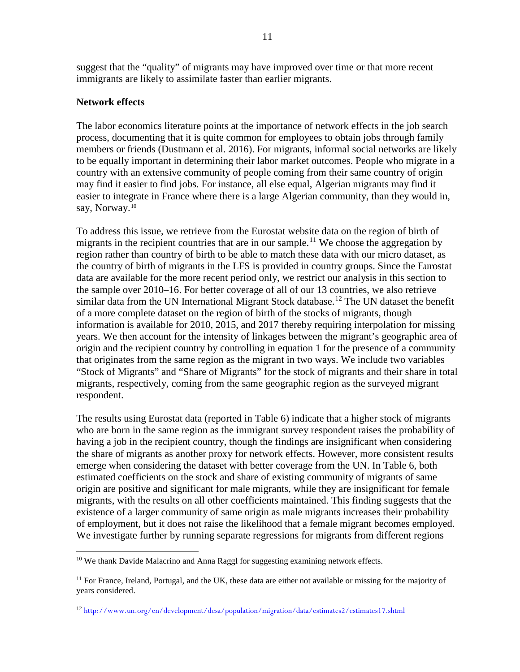suggest that the "quality" of migrants may have improved over time or that more recent immigrants are likely to assimilate faster than earlier migrants.

## **Network effects**

The labor economics literature points at the importance of network effects in the job search process, documenting that it is quite common for employees to obtain jobs through family members or friends (Dustmann et al. 2016). For migrants, informal social networks are likely to be equally important in determining their labor market outcomes. People who migrate in a country with an extensive community of people coming from their same country of origin may find it easier to find jobs. For instance, all else equal, Algerian migrants may find it easier to integrate in France where there is a large Algerian community, than they would in, say, Norway.<sup>[10](#page-10-0)</sup>

To address this issue, we retrieve from the Eurostat website data on the region of birth of migrants in the recipient countries that are in our sample.<sup>[11](#page-10-1)</sup> We choose the aggregation by region rather than country of birth to be able to match these data with our micro dataset, as the country of birth of migrants in the LFS is provided in country groups. Since the Eurostat data are available for the more recent period only, we restrict our analysis in this section to the sample over 2010–16. For better coverage of all of our 13 countries, we also retrieve similar data from the UN International Migrant Stock database.<sup>[12](#page-10-2)</sup> The UN dataset the benefit of a more complete dataset on the region of birth of the stocks of migrants, though information is available for 2010, 2015, and 2017 thereby requiring interpolation for missing years. We then account for the intensity of linkages between the migrant's geographic area of origin and the recipient country by controlling in equation 1 for the presence of a community that originates from the same region as the migrant in two ways. We include two variables "Stock of Migrants" and "Share of Migrants" for the stock of migrants and their share in total migrants, respectively, coming from the same geographic region as the surveyed migrant respondent.

The results using Eurostat data (reported in Table 6) indicate that a higher stock of migrants who are born in the same region as the immigrant survey respondent raises the probability of having a job in the recipient country, though the findings are insignificant when considering the share of migrants as another proxy for network effects. However, more consistent results emerge when considering the dataset with better coverage from the UN. In Table 6, both estimated coefficients on the stock and share of existing community of migrants of same origin are positive and significant for male migrants, while they are insignificant for female migrants, with the results on all other coefficients maintained. This finding suggests that the existence of a larger community of same origin as male migrants increases their probability of employment, but it does not raise the likelihood that a female migrant becomes employed. We investigate further by running separate regressions for migrants from different regions

<span id="page-10-0"></span><sup>&</sup>lt;sup>10</sup> We thank Davide Malacrino and Anna Raggl for suggesting examining network effects.

<span id="page-10-1"></span> $11$  For France, Ireland, Portugal, and the UK, these data are either not available or missing for the majority of years considered.

<span id="page-10-2"></span><sup>12</sup> <http://www.un.org/en/development/desa/population/migration/data/estimates2/estimates17.shtml>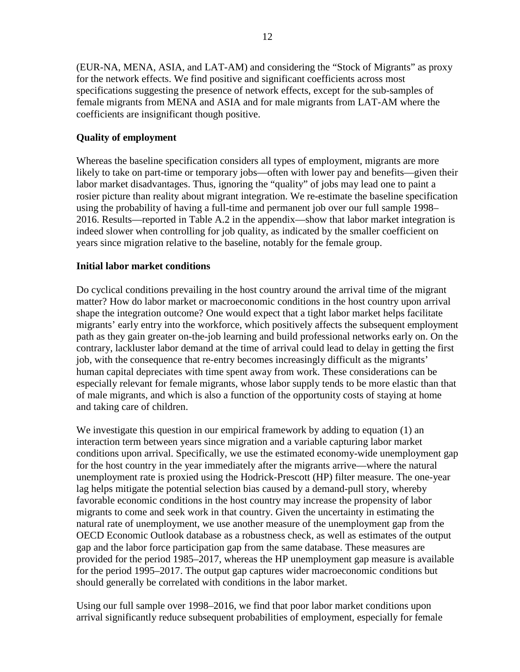(EUR-NA, MENA, ASIA, and LAT-AM) and considering the "Stock of Migrants" as proxy for the network effects. We find positive and significant coefficients across most specifications suggesting the presence of network effects, except for the sub-samples of female migrants from MENA and ASIA and for male migrants from LAT-AM where the coefficients are insignificant though positive.

# **Quality of employment**

Whereas the baseline specification considers all types of employment, migrants are more likely to take on part-time or temporary jobs—often with lower pay and benefits—given their labor market disadvantages. Thus, ignoring the "quality" of jobs may lead one to paint a rosier picture than reality about migrant integration. We re-estimate the baseline specification using the probability of having a full-time and permanent job over our full sample 1998– 2016. Results—reported in Table A.2 in the appendix—show that labor market integration is indeed slower when controlling for job quality, as indicated by the smaller coefficient on years since migration relative to the baseline, notably for the female group.

# **Initial labor market conditions**

Do cyclical conditions prevailing in the host country around the arrival time of the migrant matter? How do labor market or macroeconomic conditions in the host country upon arrival shape the integration outcome? One would expect that a tight labor market helps facilitate migrants' early entry into the workforce, which positively affects the subsequent employment path as they gain greater on-the-job learning and build professional networks early on. On the contrary, lackluster labor demand at the time of arrival could lead to delay in getting the first job, with the consequence that re-entry becomes increasingly difficult as the migrants' human capital depreciates with time spent away from work. These considerations can be especially relevant for female migrants, whose labor supply tends to be more elastic than that of male migrants, and which is also a function of the opportunity costs of staying at home and taking care of children.

We investigate this question in our empirical framework by adding to equation (1) an interaction term between years since migration and a variable capturing labor market conditions upon arrival. Specifically, we use the estimated economy-wide unemployment gap for the host country in the year immediately after the migrants arrive—where the natural unemployment rate is proxied using the Hodrick-Prescott (HP) filter measure. The one-year lag helps mitigate the potential selection bias caused by a demand-pull story, whereby favorable economic conditions in the host country may increase the propensity of labor migrants to come and seek work in that country. Given the uncertainty in estimating the natural rate of unemployment, we use another measure of the unemployment gap from the OECD Economic Outlook database as a robustness check, as well as estimates of the output gap and the labor force participation gap from the same database. These measures are provided for the period 1985–2017, whereas the HP unemployment gap measure is available for the period 1995–2017. The output gap captures wider macroeconomic conditions but should generally be correlated with conditions in the labor market.

Using our full sample over 1998–2016, we find that poor labor market conditions upon arrival significantly reduce subsequent probabilities of employment, especially for female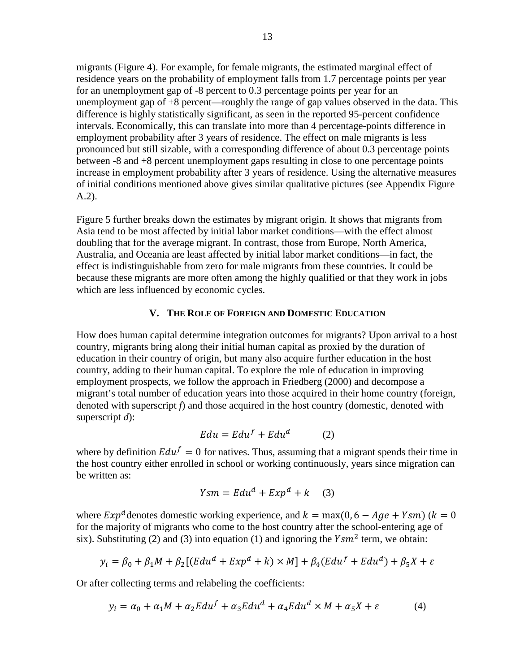migrants (Figure 4). For example, for female migrants, the estimated marginal effect of residence years on the probability of employment falls from 1.7 percentage points per year for an unemployment gap of -8 percent to 0.3 percentage points per year for an unemployment gap of +8 percent—roughly the range of gap values observed in the data. This difference is highly statistically significant, as seen in the reported 95-percent confidence intervals. Economically, this can translate into more than 4 percentage-points difference in employment probability after 3 years of residence. The effect on male migrants is less pronounced but still sizable, with a corresponding difference of about 0.3 percentage points between -8 and +8 percent unemployment gaps resulting in close to one percentage points increase in employment probability after 3 years of residence. Using the alternative measures of initial conditions mentioned above gives similar qualitative pictures (see Appendix Figure A.2).

Figure 5 further breaks down the estimates by migrant origin. It shows that migrants from Asia tend to be most affected by initial labor market conditions—with the effect almost doubling that for the average migrant. In contrast, those from Europe, North America, Australia, and Oceania are least affected by initial labor market conditions—in fact, the effect is indistinguishable from zero for male migrants from these countries. It could be because these migrants are more often among the highly qualified or that they work in jobs which are less influenced by economic cycles.

#### **V. THE ROLE OF FOREIGN AND DOMESTIC EDUCATION**

How does human capital determine integration outcomes for migrants? Upon arrival to a host country, migrants bring along their initial human capital as proxied by the duration of education in their country of origin, but many also acquire further education in the host country, adding to their human capital. To explore the role of education in improving employment prospects, we follow the approach in Friedberg (2000) and decompose a migrant's total number of education years into those acquired in their home country (foreign, denoted with superscript *f*) and those acquired in the host country (domestic, denoted with superscript *d*):

$$
E du = E du^f + E du^d \tag{2}
$$

where by definition  $E du^f = 0$  for natives. Thus, assuming that a migrant spends their time in the host country either enrolled in school or working continuously, years since migration can be written as:

$$
Ysm = Edu^d + Exp^d + k \quad (3)
$$

where  $Exp<sup>d</sup>$  denotes domestic working experience, and  $k = max(0, 6 - Age + Ysm)(k = 0$ for the majority of migrants who come to the host country after the school-entering age of six). Substituting (2) and (3) into equation (1) and ignoring the  $Y \, \text{sm}^2$  term, we obtain:

$$
y_i = \beta_0 + \beta_1 M + \beta_2 [(Edu^d + Exp^d + k) \times M] + \beta_4 (Edu^f + Edu^d) + \beta_5 X + \varepsilon
$$

Or after collecting terms and relabeling the coefficients:

$$
y_i = \alpha_0 + \alpha_1 M + \alpha_2 E du^f + \alpha_3 E du^d + \alpha_4 E du^d \times M + \alpha_5 X + \varepsilon \tag{4}
$$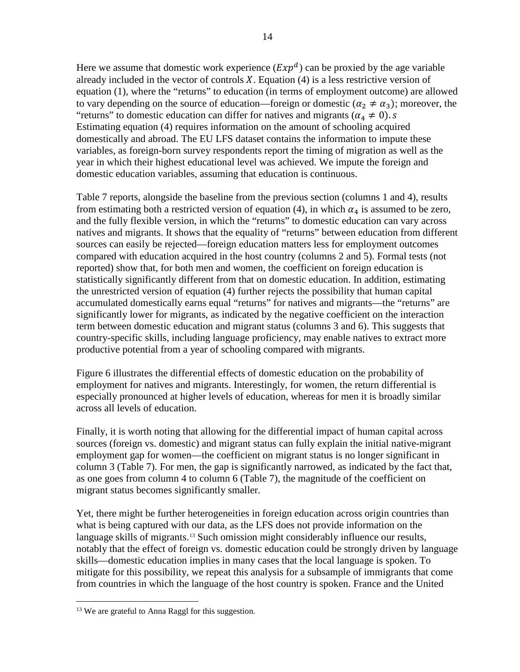Here we assume that domestic work experience  $(Exp<sup>d</sup>)$  can be proxied by the age variable already included in the vector of controls  $X$ . Equation (4) is a less restrictive version of equation (1), where the "returns" to education (in terms of employment outcome) are allowed to vary depending on the source of education—foreign or domestic ( $\alpha_2 \neq \alpha_3$ ); moreover, the "returns" to domestic education can differ for natives and migrants ( $\alpha_4 \neq 0$ ). s Estimating equation (4) requires information on the amount of schooling acquired domestically and abroad. The EU LFS dataset contains the information to impute these variables, as foreign-born survey respondents report the timing of migration as well as the year in which their highest educational level was achieved. We impute the foreign and domestic education variables, assuming that education is continuous.

Table 7 reports, alongside the baseline from the previous section (columns 1 and 4), results from estimating both a restricted version of equation (4), in which  $\alpha_4$  is assumed to be zero, and the fully flexible version, in which the "returns" to domestic education can vary across natives and migrants. It shows that the equality of "returns" between education from different sources can easily be rejected—foreign education matters less for employment outcomes compared with education acquired in the host country (columns 2 and 5). Formal tests (not reported) show that, for both men and women, the coefficient on foreign education is statistically significantly different from that on domestic education. In addition, estimating the unrestricted version of equation (4) further rejects the possibility that human capital accumulated domestically earns equal "returns" for natives and migrants—the "returns" are significantly lower for migrants, as indicated by the negative coefficient on the interaction term between domestic education and migrant status (columns 3 and 6). This suggests that country-specific skills, including language proficiency, may enable natives to extract more productive potential from a year of schooling compared with migrants.

Figure 6 illustrates the differential effects of domestic education on the probability of employment for natives and migrants. Interestingly, for women, the return differential is especially pronounced at higher levels of education, whereas for men it is broadly similar across all levels of education.

Finally, it is worth noting that allowing for the differential impact of human capital across sources (foreign vs. domestic) and migrant status can fully explain the initial native-migrant employment gap for women—the coefficient on migrant status is no longer significant in column 3 (Table 7). For men, the gap is significantly narrowed, as indicated by the fact that, as one goes from column 4 to column 6 (Table 7), the magnitude of the coefficient on migrant status becomes significantly smaller.

Yet, there might be further heterogeneities in foreign education across origin countries than what is being captured with our data, as the LFS does not provide information on the language skills of migrants.<sup>[13](#page-13-0)</sup> Such omission might considerably influence our results, notably that the effect of foreign vs. domestic education could be strongly driven by language skills—domestic education implies in many cases that the local language is spoken. To mitigate for this possibility, we repeat this analysis for a subsample of immigrants that come from countries in which the language of the host country is spoken. France and the United

<span id="page-13-0"></span><sup>&</sup>lt;sup>13</sup> We are grateful to Anna Raggl for this suggestion.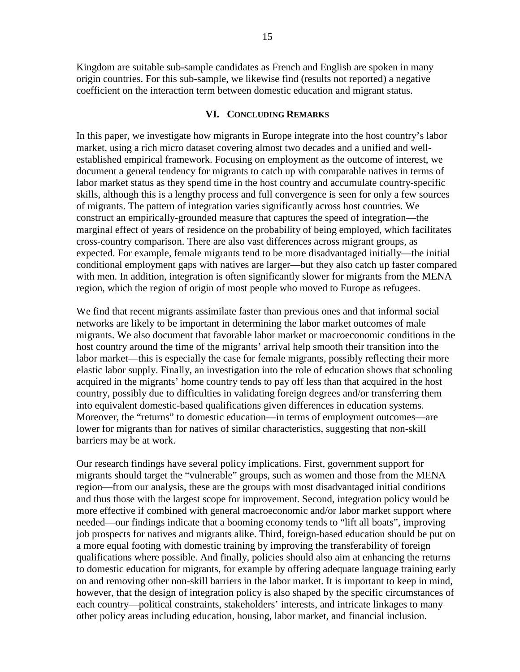Kingdom are suitable sub-sample candidates as French and English are spoken in many origin countries. For this sub-sample, we likewise find (results not reported) a negative coefficient on the interaction term between domestic education and migrant status.

#### **VI. CONCLUDING REMARKS**

In this paper, we investigate how migrants in Europe integrate into the host country's labor market, using a rich micro dataset covering almost two decades and a unified and wellestablished empirical framework. Focusing on employment as the outcome of interest, we document a general tendency for migrants to catch up with comparable natives in terms of labor market status as they spend time in the host country and accumulate country-specific skills, although this is a lengthy process and full convergence is seen for only a few sources of migrants. The pattern of integration varies significantly across host countries. We construct an empirically-grounded measure that captures the speed of integration—the marginal effect of years of residence on the probability of being employed, which facilitates cross-country comparison. There are also vast differences across migrant groups, as expected. For example, female migrants tend to be more disadvantaged initially—the initial conditional employment gaps with natives are larger—but they also catch up faster compared with men. In addition, integration is often significantly slower for migrants from the MENA region, which the region of origin of most people who moved to Europe as refugees.

We find that recent migrants assimilate faster than previous ones and that informal social networks are likely to be important in determining the labor market outcomes of male migrants. We also document that favorable labor market or macroeconomic conditions in the host country around the time of the migrants' arrival help smooth their transition into the labor market—this is especially the case for female migrants, possibly reflecting their more elastic labor supply. Finally, an investigation into the role of education shows that schooling acquired in the migrants' home country tends to pay off less than that acquired in the host country, possibly due to difficulties in validating foreign degrees and/or transferring them into equivalent domestic-based qualifications given differences in education systems. Moreover, the "returns" to domestic education—in terms of employment outcomes—are lower for migrants than for natives of similar characteristics, suggesting that non-skill barriers may be at work.

Our research findings have several policy implications. First, government support for migrants should target the "vulnerable" groups, such as women and those from the MENA region—from our analysis, these are the groups with most disadvantaged initial conditions and thus those with the largest scope for improvement. Second, integration policy would be more effective if combined with general macroeconomic and/or labor market support where needed—our findings indicate that a booming economy tends to "lift all boats", improving job prospects for natives and migrants alike. Third, foreign-based education should be put on a more equal footing with domestic training by improving the transferability of foreign qualifications where possible. And finally, policies should also aim at enhancing the returns to domestic education for migrants, for example by offering adequate language training early on and removing other non-skill barriers in the labor market. It is important to keep in mind, however, that the design of integration policy is also shaped by the specific circumstances of each country—political constraints, stakeholders' interests, and intricate linkages to many other policy areas including education, housing, labor market, and financial inclusion.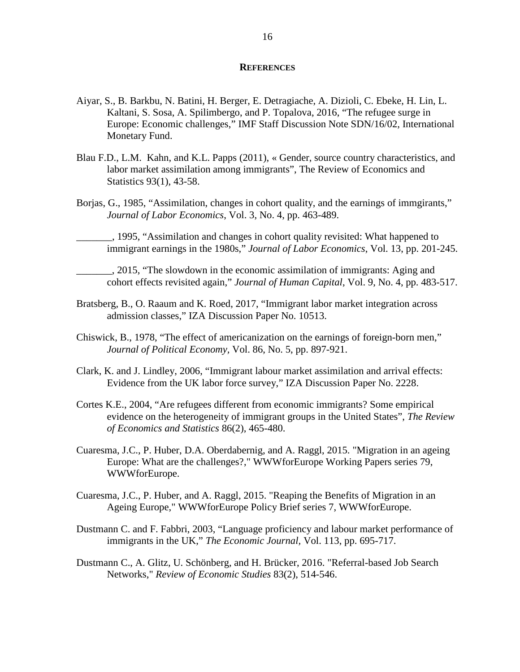#### **REFERENCES**

- Aiyar, S., B. Barkbu, N. Batini, H. Berger, E. Detragiache, A. Dizioli, C. Ebeke, H. Lin, L. Kaltani, S. Sosa, A. Spilimbergo, and P. Topalova, 2016, "The refugee surge in Europe: Economic challenges," IMF Staff Discussion Note SDN/16/02, International Monetary Fund.
- Blau F.D., L.M. Kahn, and K.L. Papps (2011), « Gender, source country characteristics, and labor market assimilation among immigrants", The Review of Economics and Statistics 93(1), 43-58.
- Borjas, G., 1985, "Assimilation, changes in cohort quality, and the earnings of immgirants," *Journal of Labor Economics*, Vol. 3, No. 4, pp. 463-489.

\_\_\_\_\_\_\_, 1995, "Assimilation and changes in cohort quality revisited: What happened to immigrant earnings in the 1980s," *Journal of Labor Economics*, Vol. 13, pp. 201-245.

\_\_\_\_\_\_\_, 2015, "The slowdown in the economic assimilation of immigrants: Aging and cohort effects revisited again," *Journal of Human Capital*, Vol. 9, No. 4, pp. 483-517.

- Bratsberg, B., O. Raaum and K. Roed, 2017, "Immigrant labor market integration across admission classes," IZA Discussion Paper No. 10513.
- Chiswick, B., 1978, "The effect of americanization on the earnings of foreign-born men," *Journal of Political Economy,* Vol. 86, No. 5, pp. 897-921.
- Clark, K. and J. Lindley, 2006, "Immigrant labour market assimilation and arrival effects: Evidence from the UK labor force survey," IZA Discussion Paper No. 2228.
- Cortes K.E., 2004, "Are refugees different from economic immigrants? Some empirical evidence on the heterogeneity of immigrant groups in the United States", *The Review of Economics and Statistics* 86(2), 465-480.
- Cuaresma, J.C., P. Huber, D.A. Oberdabernig, and A. Raggl, 2015. "Migration in an ageing Europe: What are the challenges?," WWWforEurope Working Papers series 79, WWWforEurope.
- Cuaresma, J.C., P. Huber, and A. Raggl, 2015. "Reaping the Benefits of Migration in an Ageing Europe," WWWforEurope Policy Brief series 7, WWWforEurope.
- Dustmann C. and F. Fabbri, 2003, "Language proficiency and labour market performance of immigrants in the UK," *The Economic Journal,* Vol. 113, pp. 695-717.
- Dustmann C., A. Glitz, U. Schönberg, and H. Brücker, 2016. "Referral-based Job Search Networks," *Review of Economic Studies* 83(2), 514-546.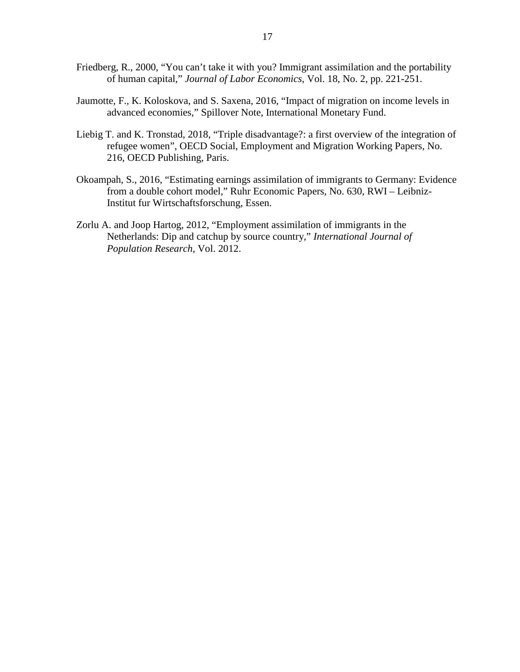- Friedberg, R., 2000, "You can't take it with you? Immigrant assimilation and the portability of human capital," *Journal of Labor Economics*, Vol. 18, No. 2, pp. 221-251.
- Jaumotte, F., K. Koloskova, and S. Saxena, 2016, "Impact of migration on income levels in advanced economies," Spillover Note, International Monetary Fund.
- Liebig T. and K. Tronstad, 2018, "Triple disadvantage?: a first overview of the integration of refugee women", OECD Social, Employment and Migration Working Papers, No. 216, OECD Publishing, Paris.
- Okoampah, S., 2016, "Estimating earnings assimilation of immigrants to Germany: Evidence from a double cohort model," Ruhr Economic Papers, No. 630, RWI – Leibniz-Institut fur Wirtschaftsforschung, Essen.
- Zorlu A. and Joop Hartog, 2012, "Employment assimilation of immigrants in the Netherlands: Dip and catchup by source country," *International Journal of Population Research,* Vol. 2012.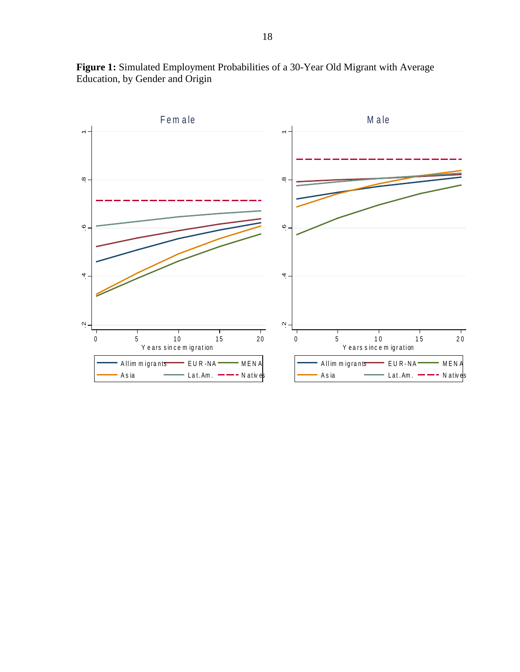

**Figure 1:** Simulated Employment Probabilities of a 30-Year Old Migrant with Average Education, by Gender and Origin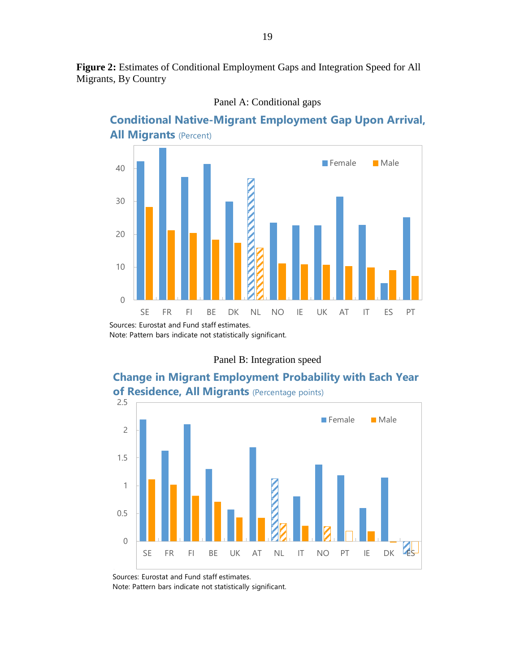**Figure 2:** Estimates of Conditional Employment Gaps and Integration Speed for All Migrants, By Country



Panel A: Conditional gaps

Note: Pattern bars indicate not statistically significant.







Sources: Eurostat and Fund staff estimates.

Note: Pattern bars indicate not statistically significant.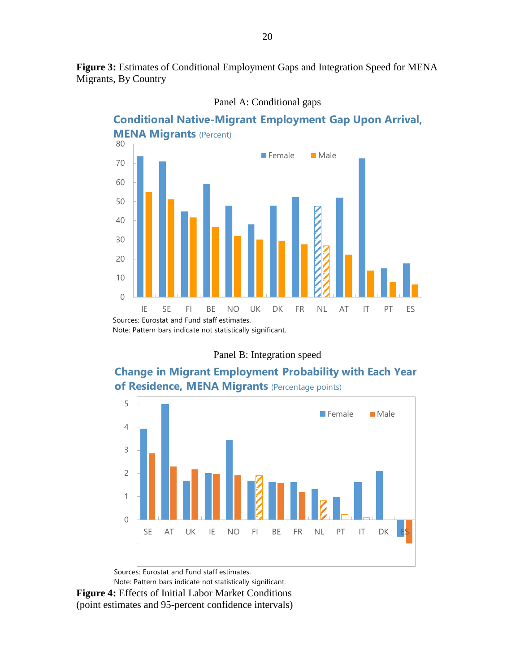**Figure 3:** Estimates of Conditional Employment Gaps and Integration Speed for MENA Migrants, By Country



Panel A: Conditional gaps

Panel B: Integration speed

# **Change in Migrant Employment Probability with Each Year of Residence, MENA Migrants** (Percentage points)



**Figure 4:** Effects of Initial Labor Market Conditions (point estimates and 95-percent confidence intervals) Note: Pattern bars indicate not statistically significant.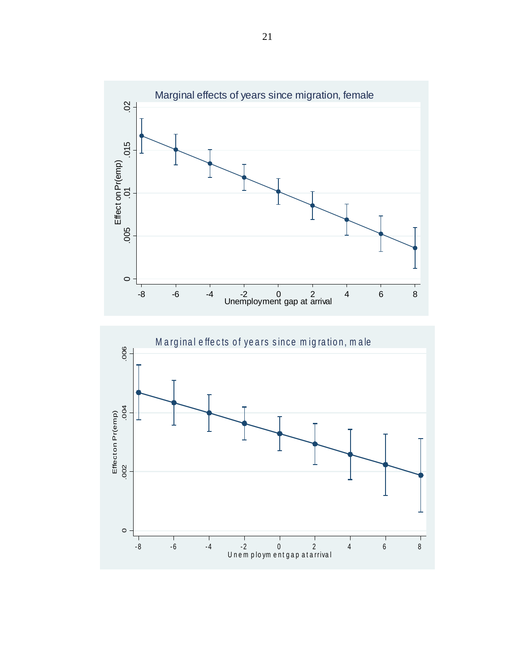

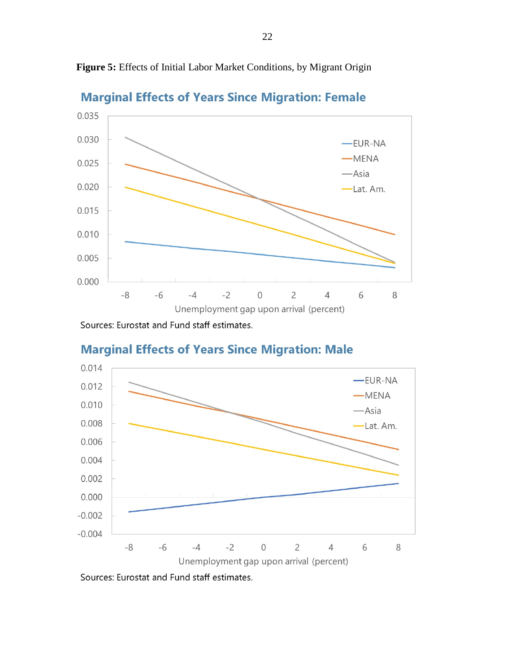**Marginal Effects of Years Since Migration: Female** 0.035 0.030 -EUR-NA  $-MENA$  $0.025$ — Asia  $0.020$ -Lat. Am.  $0.015$ 0.010 0.005  $0.000$  $-2$  $\overline{0}$  $-8$  $-6$  $-4$  $\overline{2}$  $\overline{4}$ 6 8 Unemployment gap upon arrival (percent)

**Figure 5:** Effects of Initial Labor Market Conditions, by Migrant Origin

Sources: Eurostat and Fund staff estimates.



# **Marginal Effects of Years Since Migration: Male**

Sources: Eurostat and Fund staff estimates.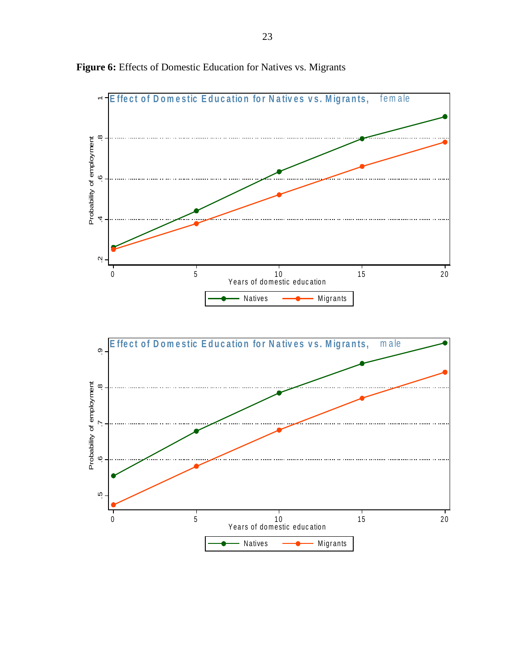

**Figure 6:** Effects of Domestic Education for Natives vs. Migrants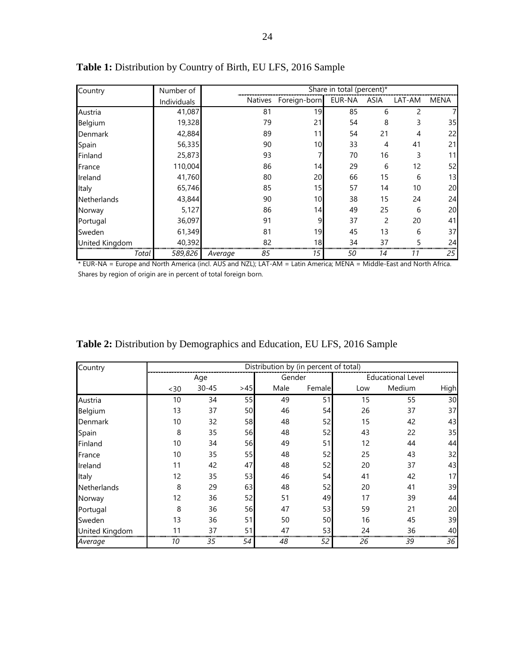| Country        | Number of   | Share in total (percent)* |              |        |             |        |             |
|----------------|-------------|---------------------------|--------------|--------|-------------|--------|-------------|
|                | Individuals | Natives                   | Foreign-born | EUR-NA | <b>ASIA</b> | LAT-AM | <b>MENA</b> |
| Austria        | 41,087      | 81                        | 19           | 85     | 6           | 2      |             |
| Belgium        | 19,328      | 79                        | 21           | 54     | 8           | 3      | 35          |
| Denmark        | 42,884      | 89                        | 11           | 54     | 21          | 4      | 22          |
| Spain          | 56,335      | 90                        | 10           | 33     | 4           | 41     | 21          |
| Finland        | 25,873      | 93                        |              | 70     | 16          | 3      | 11          |
| France         | 110,004     | 86                        | 14           | 29     | 6           | 12     | 52          |
| Ireland        | 41,760      | 80                        | 20           | 66     | 15          | 6      | 13          |
| Italy          | 65,746      | 85                        | 15           | 57     | 14          | 10     | 20          |
| Netherlands    | 43,844      | 90                        | 10           | 38     | 15          | 24     | 24          |
| Norway         | 5,127       | 86                        | 14           | 49     | 25          | 6      | 20          |
| Portugal       | 36,097      | 91                        | 9            | 37     | 2           | 20     | 41          |
| Sweden         | 61,349      | 81                        | 19           | 45     | 13          | 6      | 37          |
| United Kingdom | 40,392      | 82                        | 18           | 34     | 37          | 5      | 24          |
| Total          | 589,826     | 85<br>Average             | 15           | 50     | 14          | 11     | 25          |

**Table 1:** Distribution by Country of Birth, EU LFS, 2016 Sample

\* EUR-NA = Europe and North America (incl. AUS and NZL); LAT-AM = Latin America; MENA = Middle-East and North Africa. Shares by region of origin are in percent of total foreign born.

| Country        |     | Distribution by (in percent of total) |     |        |        |     |                          |             |  |  |  |
|----------------|-----|---------------------------------------|-----|--------|--------|-----|--------------------------|-------------|--|--|--|
|                |     | Age                                   |     | Gender |        |     | <b>Educational Level</b> |             |  |  |  |
|                | <30 | $30 - 45$                             | >45 | Male   | Female | Low | Medium                   | <b>High</b> |  |  |  |
| Austria        | 10  | 34                                    | 55  | 49     | 51     | 15  | 55                       | 30          |  |  |  |
| Belgium        | 13  | 37                                    | 50  | 46     | 54     | 26  | 37                       | 37          |  |  |  |
| Denmark        | 10  | 32                                    | 58  | 48     | 52     | 15  | 42                       | 43          |  |  |  |
| Spain          | 8   | 35                                    | 56  | 48     | 52     | 43  | 22                       | 35          |  |  |  |
| Finland        | 10  | 34                                    | 56  | 49     | 51     | 12  | 44                       | 44          |  |  |  |
| France         | 10  | 35                                    | 55  | 48     | 52     | 25  | 43                       | 32          |  |  |  |
| Ireland        | 11  | 42                                    | 47  | 48     | 52     | 20  | 37                       | 43          |  |  |  |
| Italy          | 12  | 35                                    | 53  | 46     | 54     | 41  | 42                       | 17          |  |  |  |
| Netherlands    | 8   | 29                                    | 63  | 48     | 52     | 20  | 41                       | 39          |  |  |  |
| Norway         | 12  | 36                                    | 52  | 51     | 49     | 17  | 39                       | 44          |  |  |  |
| Portugal       | 8   | 36                                    | 56  | 47     | 53     | 59  | 21                       | 20          |  |  |  |
| Sweden         | 13  | 36                                    | 51  | 50     | 50     | 16  | 45                       | 39          |  |  |  |
| United Kingdom | 11  | 37                                    | 51  | 47     | 53     | 24  | 36                       | 40          |  |  |  |
| Average        | 10  | 35                                    | 54  | 48     | 52     | 26  | 39                       | 36          |  |  |  |

**Table 2:** Distribution by Demographics and Education, EU LFS, 2016 Sample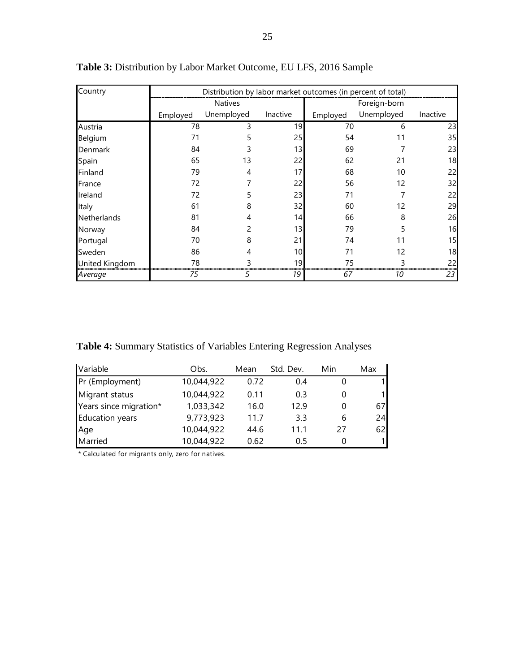| Country            | Distribution by labor market outcomes (in percent of total) |                |          |              |            |          |  |  |
|--------------------|-------------------------------------------------------------|----------------|----------|--------------|------------|----------|--|--|
|                    |                                                             | <b>Natives</b> |          | Foreign-born |            |          |  |  |
|                    | Employed                                                    | Unemployed     | Inactive | Employed     | Unemployed | Inactive |  |  |
| Austria            | 78                                                          | 3              | 19       | 70           | 6          | 23       |  |  |
| Belgium            | 71                                                          |                | 25       | 54           | 11         | 35       |  |  |
| Denmark            | 84                                                          |                | 13       | 69           |            | 23       |  |  |
| Spain              | 65                                                          | 13             | 22       | 62           | 21         | 18       |  |  |
| Finland            | 79                                                          | 4              | 17       | 68           | 10         | 22       |  |  |
| France             | 72                                                          |                | 22       | 56           | 12         | 32       |  |  |
| Ireland            | 72                                                          |                | 23       | 71           |            | 22       |  |  |
| Italy              | 61                                                          | 8              | 32       | 60           | 12         | 29       |  |  |
| <b>Netherlands</b> | 81                                                          |                | 14       | 66           | 8          | 26       |  |  |
| Norway             | 84                                                          |                | 13       | 79           |            | 16       |  |  |
| Portugal           | 70                                                          | 8              | 21       | 74           | 11         | 15       |  |  |
| Sweden             | 86                                                          |                | 10       | 71           | 12         | 18       |  |  |
| United Kingdom     | 78                                                          |                | 19       | 75           |            | 22       |  |  |
| Average            | 75                                                          | 5              | 19       | 67           | 10         | 23       |  |  |

**Table 3:** Distribution by Labor Market Outcome, EU LFS, 2016 Sample

**Table 4:** Summary Statistics of Variables Entering Regression Analyses

| Variable               | Obs.       | Mean | Std. Dev. | Min | Max |
|------------------------|------------|------|-----------|-----|-----|
| Pr (Employment)        | 10,044,922 | 0.72 | 0.4       |     |     |
| Migrant status         | 10,044,922 | 0.11 | 0.3       |     | 1   |
| Years since migration* | 1,033,342  | 16.0 | 12.9      | 0   | 67  |
| Education years        | 9,773,923  | 11.7 | 3.3       | 6   | 24  |
| Age                    | 10,044,922 | 44.6 | 11.1      | 27  | 62  |
| Married                | 10,044,922 | 0.62 | 0.5       | 0   | 1   |

\* Calculated for migrants only, zero for natives.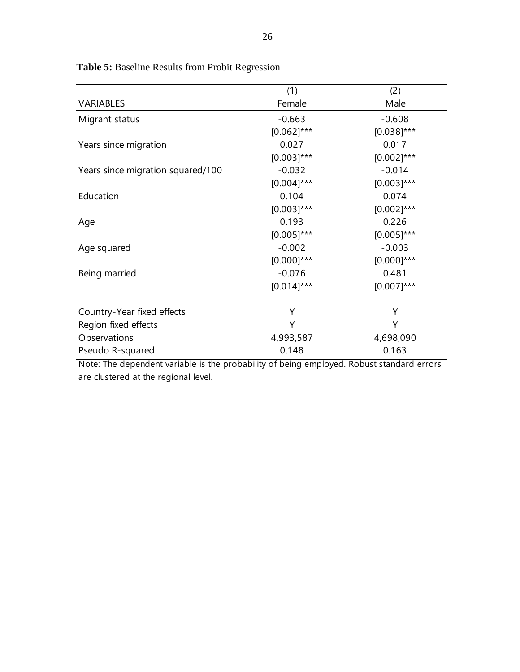|                                   | (1)           | (2)           |
|-----------------------------------|---------------|---------------|
| VARIABLES                         | Female        | Male          |
| Migrant status                    | $-0.663$      | $-0.608$      |
|                                   | $[0.062]$ *** | $[0.038]$ *** |
| Years since migration             | 0.027         | 0.017         |
|                                   | $[0.003]$ *** | $[0.002]$ *** |
| Years since migration squared/100 | $-0.032$      | $-0.014$      |
|                                   | $[0.004]$ *** | $[0.003]$ *** |
| Education                         | 0.104         | 0.074         |
|                                   | $[0.003]$ *** | $[0.002]$ *** |
| Age                               | 0.193         | 0.226         |
|                                   | $[0.005]$ *** | $[0.005]$ *** |
| Age squared                       | $-0.002$      | $-0.003$      |
|                                   | $[0.000]$ *** | $[0.000]$ *** |
| Being married                     | $-0.076$      | 0.481         |
|                                   | $[0.014]$ *** | $[0.007]$ *** |
| Country-Year fixed effects        | Υ             | Υ             |
| Region fixed effects              | Υ             | Υ             |
| Observations                      | 4,993,587     | 4,698,090     |
| Pseudo R-squared                  | 0.148         | 0.163         |

**Table 5:** Baseline Results from Probit Regression

Note: The dependent variable is the probability of being employed. Robust standard errors are clustered at the regional level.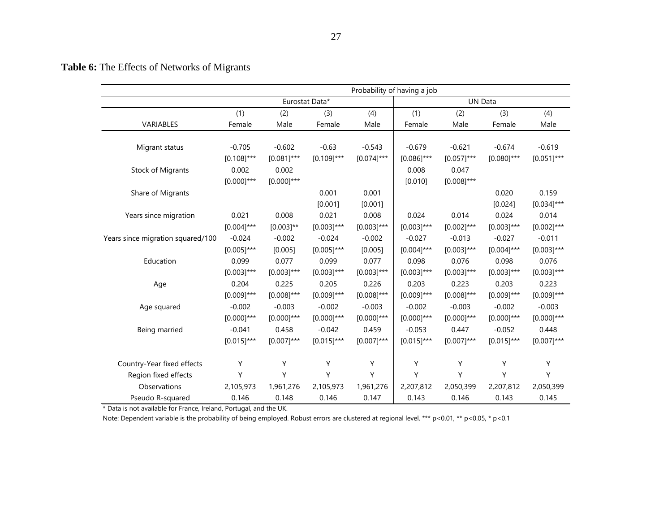**Table 6:** The Effects of Networks of Migrants

|                                   | Probability of having a job |               |                |               |                |               |               |               |
|-----------------------------------|-----------------------------|---------------|----------------|---------------|----------------|---------------|---------------|---------------|
|                                   |                             |               | Eurostat Data* |               | <b>UN Data</b> |               |               |               |
|                                   | (1)                         | (2)           | (3)            | (4)           | (1)            | (2)           | (3)           | (4)           |
| VARIABLES                         | Female                      | Male          | Female         | Male          | Female         | Male          | Female        | Male          |
|                                   |                             |               |                |               |                |               |               |               |
| Migrant status                    | $-0.705$                    | $-0.602$      | $-0.63$        | $-0.543$      | $-0.679$       | $-0.621$      | $-0.674$      | $-0.619$      |
|                                   | $[0.108]$ ***               | $[0.081]$ *** | $[0.109]$ ***  | $[0.074]$ *** | $[0.086]$ ***  | $[0.057]$ *** | $[0.080]$ *** | $[0.051]$ *** |
| <b>Stock of Migrants</b>          | 0.002                       | 0.002         |                |               | 0.008          | 0.047         |               |               |
|                                   | $[0.000]$ ***               | $[0.000]$ *** |                |               | [0.010]        | $[0.008]$ *** |               |               |
| Share of Migrants                 |                             |               | 0.001          | 0.001         |                |               | 0.020         | 0.159         |
|                                   |                             |               | [0.001]        | [0.001]       |                |               | [0.024]       | $[0.034]$ *** |
| Years since migration             | 0.021                       | 0.008         | 0.021          | 0.008         | 0.024          | 0.014         | 0.024         | 0.014         |
|                                   | $[0.004]$ ***               | $[0.003]$ **  | $[0.003]$ ***  | $[0.003]$ *** | $[0.003]$ ***  | $[0.002]$ *** | $[0.003]$ *** | $[0.002]$ *** |
| Years since migration squared/100 | $-0.024$                    | $-0.002$      | $-0.024$       | $-0.002$      | $-0.027$       | $-0.013$      | $-0.027$      | $-0.011$      |
|                                   | $[0.005]$ ***               | [0.005]       | $[0.005]$ ***  | [0.005]       | $[0.004]$ ***  | $[0.003]$ *** | $[0.004]$ *** | $[0.003]$ *** |
| Education                         | 0.099                       | 0.077         | 0.099          | 0.077         | 0.098          | 0.076         | 0.098         | 0.076         |
|                                   | $[0.003]$ ***               | $[0.003]$ *** | $[0.003]$ ***  | $[0.003]$ *** | $[0.003]$ ***  | $[0.003]$ *** | $[0.003]$ *** | $[0.003]$ *** |
| Age                               | 0.204                       | 0.225         | 0.205          | 0.226         | 0.203          | 0.223         | 0.203         | 0.223         |
|                                   | $[0.009]$ ***               | $[0.008]$ *** | $[0.009]$ ***  | $[0.008]$ *** | $[0.009]$ ***  | $[0.008]$ *** | $[0.009]$ *** | $[0.009]$ *** |
| Age squared                       | $-0.002$                    | $-0.003$      | $-0.002$       | $-0.003$      | $-0.002$       | $-0.003$      | $-0.002$      | $-0.003$      |
|                                   | $[0.000]$ ***               | $[0.000]$ *** | $[0.000]$ ***  | $[0.000]$ *** | $[0.000]$ ***  | $[0.000]$ *** | $[0.000]$ *** | $[0.000]$ *** |
| Being married                     | $-0.041$                    | 0.458         | $-0.042$       | 0.459         | $-0.053$       | 0.447         | $-0.052$      | 0.448         |
|                                   | $[0.015]$ ***               | $[0.007]$ *** | $[0.015]$ ***  | $[0.007]$ *** | $[0.015]$ ***  | $[0.007]$ *** | $[0.015]$ *** | $[0.007]$ *** |
| Country-Year fixed effects        | Υ                           | Υ             | Υ              | Υ             | Υ              | Υ             | Υ             | Υ             |
| Region fixed effects              | Y                           | Y             | Υ              | Υ             | Υ              | Υ             | Υ             | Y             |
| Observations                      | 2,105,973                   | 1,961,276     | 2,105,973      | 1,961,276     | 2,207,812      | 2,050,399     | 2,207,812     | 2,050,399     |
| Pseudo R-squared                  | 0.146                       | 0.148         | 0.146          | 0.147         | 0.143          | 0.146         | 0.143         | 0.145         |

\* Data is not available for France, Ireland, Portugal, and the UK.

Note: Dependent variable is the probability of being employed. Robust errors are clustered at regional level. \*\*\* p<0.01, \*\* p<0.05, \* p<0.1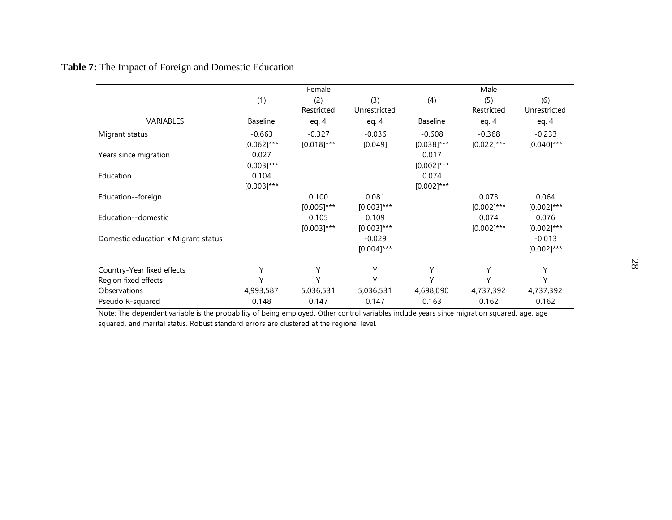# **Table 7:** The Impact of Foreign and Domestic Education

|                                     |                 | Female            |                     |                 | Male              |                     |
|-------------------------------------|-----------------|-------------------|---------------------|-----------------|-------------------|---------------------|
|                                     | (1)             | (2)<br>Restricted | (3)<br>Unrestricted | (4)             | (5)<br>Restricted | (6)<br>Unrestricted |
| VARIABLES                           | <b>Baseline</b> | eq. $4$           | eq. $4$             | <b>Baseline</b> | eq. $4$           | eq. $4$             |
| Migrant status                      | $-0.663$        | $-0.327$          | $-0.036$            | $-0.608$        | $-0.368$          | $-0.233$            |
|                                     | $[0.062]$ ***   | $[0.018]$ ***     | [0.049]             | $[0.038]$ ***   | $[0.022]$ ***     | $[0.040]$ ***       |
| Years since migration               | 0.027           |                   |                     | 0.017           |                   |                     |
|                                     | $[0.003]$ ***   |                   |                     | $[0.002]$ ***   |                   |                     |
| Education                           | 0.104           |                   |                     | 0.074           |                   |                     |
|                                     | $[0.003]$ ***   |                   |                     | $[0.002]$ ***   |                   |                     |
| Education--foreign                  |                 | 0.100             | 0.081               |                 | 0.073             | 0.064               |
|                                     |                 | $[0.005]$ ***     | $[0.003]$ ***       |                 | $[0.002]$ ***     | $[0.002]$ ***       |
| Education--domestic                 |                 | 0.105             | 0.109               |                 | 0.074             | 0.076               |
|                                     |                 | $[0.003]$ ***     | $[0.003]$ ***       |                 | $[0.002]$ ***     | $[0.002]$ ***       |
| Domestic education x Migrant status |                 |                   | $-0.029$            |                 |                   | $-0.013$            |
|                                     |                 |                   | $[0.004]$ ***       |                 |                   | $[0.002]$ ***       |
| Country-Year fixed effects          | Υ               | Υ                 | Υ                   | Υ               | Υ                 | Υ                   |
| Region fixed effects                | Υ               | Υ                 | Υ                   | Υ               | Υ                 | Υ                   |
| Observations                        | 4,993,587       | 5,036,531         | 5,036,531           | 4,698,090       | 4,737,392         | 4,737,392           |
| Pseudo R-squared                    | 0.148           | 0.147             | 0.147               | 0.163           | 0.162             | 0.162               |

Note: The dependent variable is the probability of being employed. Other control variables include years since migration squared, age, age squared, and marital status. Robust standard errors are clustered at the regional level.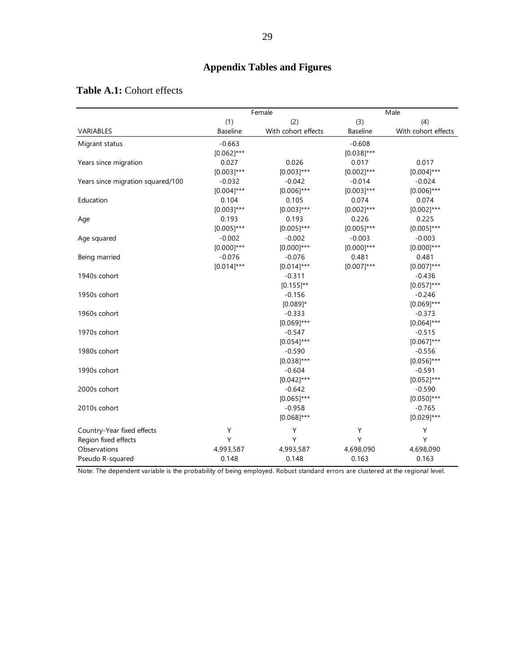|                                   | Female          |                     |                 | Male                |
|-----------------------------------|-----------------|---------------------|-----------------|---------------------|
|                                   | (1)             | (2)                 | (3)             | (4)                 |
| VARIABLES                         | <b>Baseline</b> | With cohort effects | <b>Baseline</b> | With cohort effects |
| Migrant status                    | $-0.663$        |                     | $-0.608$        |                     |
|                                   | $[0.062]$ ***   |                     | $[0.038]$ ***   |                     |
| Years since migration             | 0.027           | 0.026               | 0.017           | 0.017               |
|                                   | $[0.003]$ ***   | $[0.003]$ ***       | $[0.002]$ ***   | $[0.004]$ ***       |
| Years since migration squared/100 | $-0.032$        | $-0.042$            | $-0.014$        | $-0.024$            |
|                                   | $[0.004]$ ***   | $[0.006]$ ***       | $[0.003]$ ***   | $[0.006]$ ***       |
| Education                         | 0.104           | 0.105               | 0.074           | 0.074               |
|                                   | $[0.003]$ ***   | $[0.003]$ ***       | $[0.002]$ ***   | $[0.002]$ ***       |
| Age                               | 0.193           | 0.193               | 0.226           | 0.225               |
|                                   | $[0.005]$ ***   | $[0.005]$ ***       | $[0.005]$ ***   | $[0.005]$ ***       |
| Age squared                       | $-0.002$        | $-0.002$            | $-0.003$        | $-0.003$            |
|                                   | $[0.000]$ ***   | $[0.000]$ ***       | $[0.000]$ ***   | $[0.000]$ ***       |
| Being married                     | $-0.076$        | $-0.076$            | 0.481           | 0.481               |
|                                   | $[0.014]$ ***   | $[0.014]$ ***       | $[0.007]$ ***   | $[0.007]$ ***       |
| 1940s cohort                      |                 | $-0.311$            |                 | $-0.436$            |
|                                   |                 | $[0.155]$ **        |                 | $[0.057]$ ***       |
| 1950s cohort                      |                 | $-0.156$            |                 | $-0.246$            |
|                                   |                 | $[0.089]$ *         |                 | $[0.069]$ ***       |
| 1960s cohort                      |                 | $-0.333$            |                 | $-0.373$            |
|                                   |                 | $[0.069]$ ***       |                 | $[0.064]$ ***       |
| 1970s cohort                      |                 | $-0.547$            |                 | $-0.515$            |
|                                   |                 | $[0.054]$ ***       |                 | $[0.067]$ ***       |
| 1980s cohort                      |                 | $-0.590$            |                 | $-0.556$            |
|                                   |                 | $[0.038]$ ***       |                 | $[0.056]$ ***       |
| 1990s cohort                      |                 | $-0.604$            |                 | $-0.591$            |
|                                   |                 | $[0.042]$ ***       |                 | $[0.052]$ ***       |
| 2000s cohort                      |                 | $-0.642$            |                 | $-0.590$            |
|                                   |                 | $[0.065]$ ***       |                 | $[0.050]$ ***       |
| 2010s cohort                      |                 | $-0.958$            |                 | $-0.765$            |
|                                   |                 | $[0.068]$ ***       |                 | $[0.029]$ ***       |
| Country-Year fixed effects        | Y               | Υ                   | Υ               | Υ                   |
| Region fixed effects              | Y               | Y                   | Y               | Y                   |
| Observations                      | 4,993,587       | 4,993,587           | 4,698,090       | 4,698,090           |
| Pseudo R-squared                  | 0.148           | 0.148               | 0.163           | 0.163               |

# **Table A.1:** Cohort effects

Note: The dependent variable is the probability of being employed. Robust standard errors are clustered at the regional level.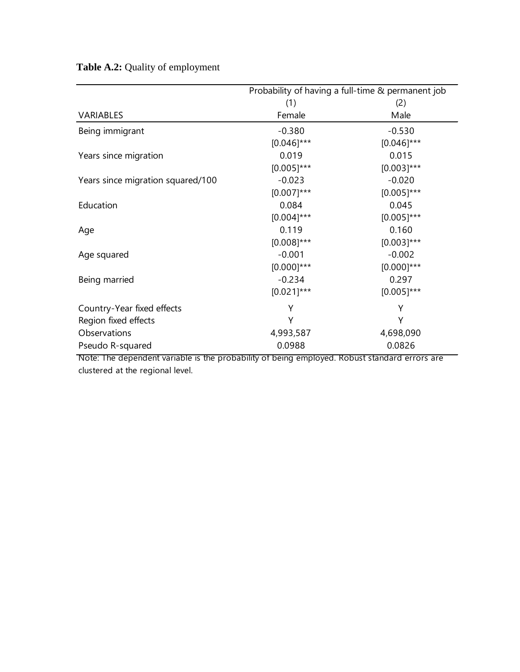**Table A.2:** Quality of employment

|                                   | Probability of having a full-time & permanent job |               |
|-----------------------------------|---------------------------------------------------|---------------|
|                                   | (1)                                               | (2)           |
| VARIABLES                         | Female                                            | Male          |
| Being immigrant                   | $-0.380$                                          | $-0.530$      |
|                                   | $[0.046]$ ***                                     | $[0.046]$ *** |
| Years since migration             | 0.019                                             | 0.015         |
|                                   | $[0.005]$ ***                                     | $[0.003]$ *** |
| Years since migration squared/100 | $-0.023$                                          | $-0.020$      |
|                                   | $[0.007]$ ***                                     | $[0.005]$ *** |
| Education                         | 0.084                                             | 0.045         |
|                                   | $[0.004]$ ***                                     | $[0.005]$ *** |
| Age                               | 0.119                                             | 0.160         |
|                                   | $[0.008]$ ***                                     | $[0.003]$ *** |
| Age squared                       | $-0.001$                                          | $-0.002$      |
|                                   | $[0.000]$ ***                                     | $[0.000]$ *** |
| Being married                     | $-0.234$                                          | 0.297         |
|                                   | $[0.021]$ ***                                     | $[0.005]$ *** |
| Country-Year fixed effects        | Y                                                 | Y             |
| Region fixed effects              | Υ                                                 | Υ             |
| Observations                      | 4,993,587                                         | 4,698,090     |
| Pseudo R-squared                  | 0.0988                                            | 0.0826        |

Note: The dependent variable is the probability of being employed. Robust standard errors are clustered at the regional level.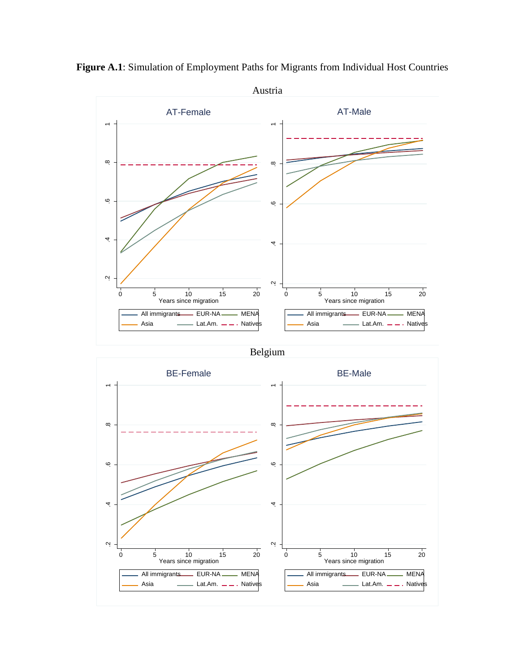

**Figure A.1**: Simulation of Employment Paths for Migrants from Individual Host Countries

Belgium

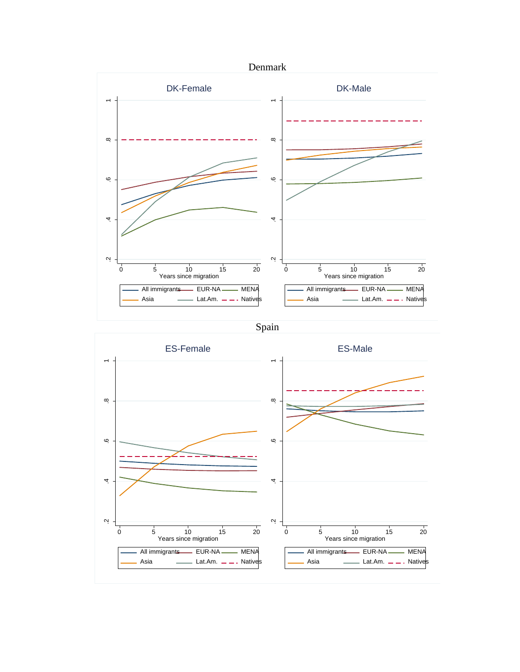

Spain

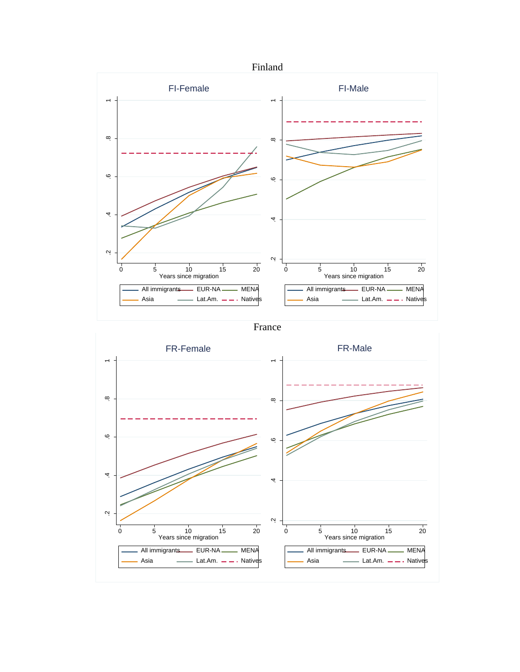

France

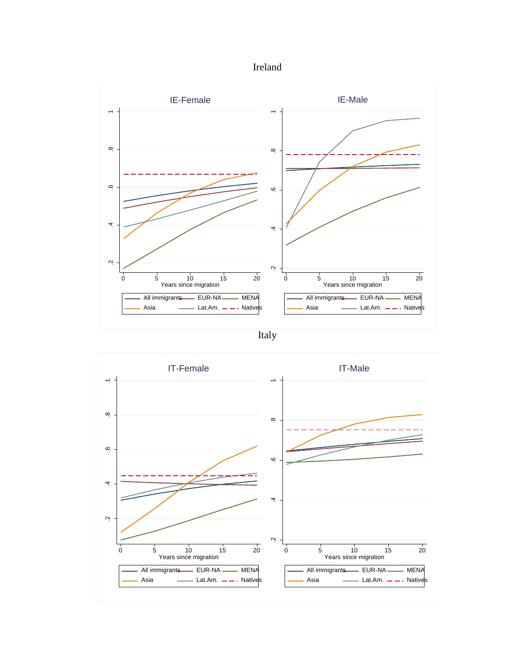



Italy

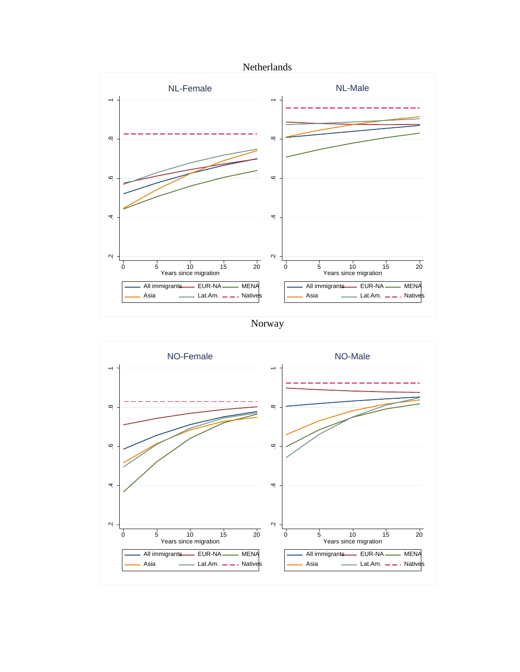



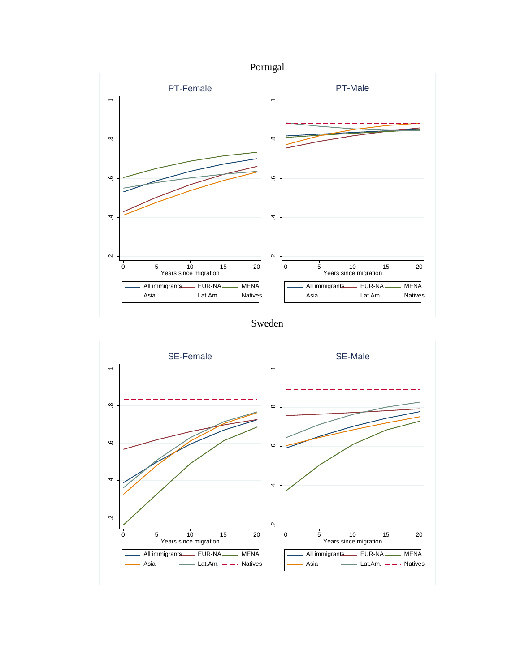

Sweden

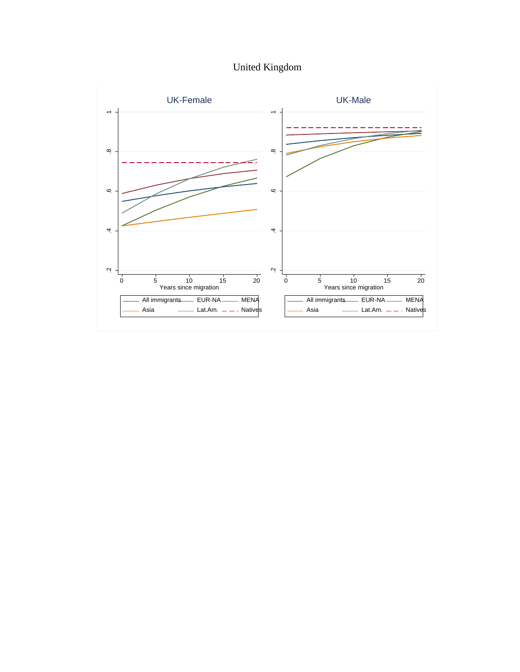United Kingdom

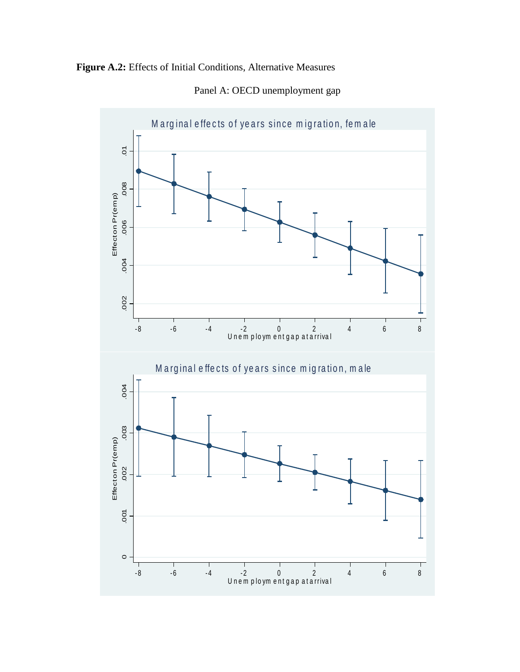



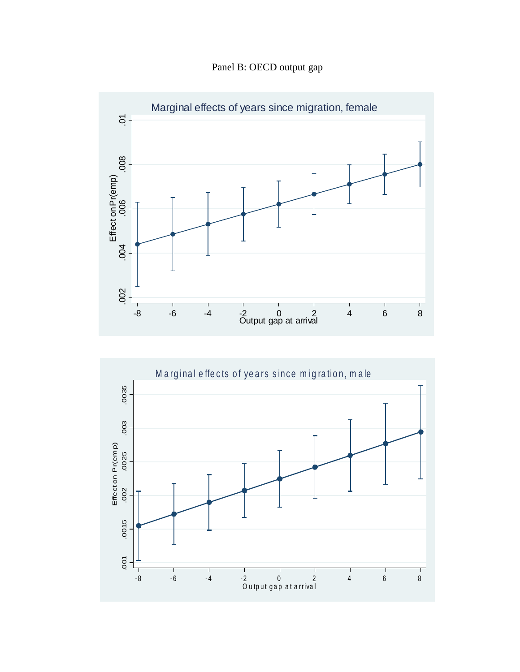Panel B: OECD output gap